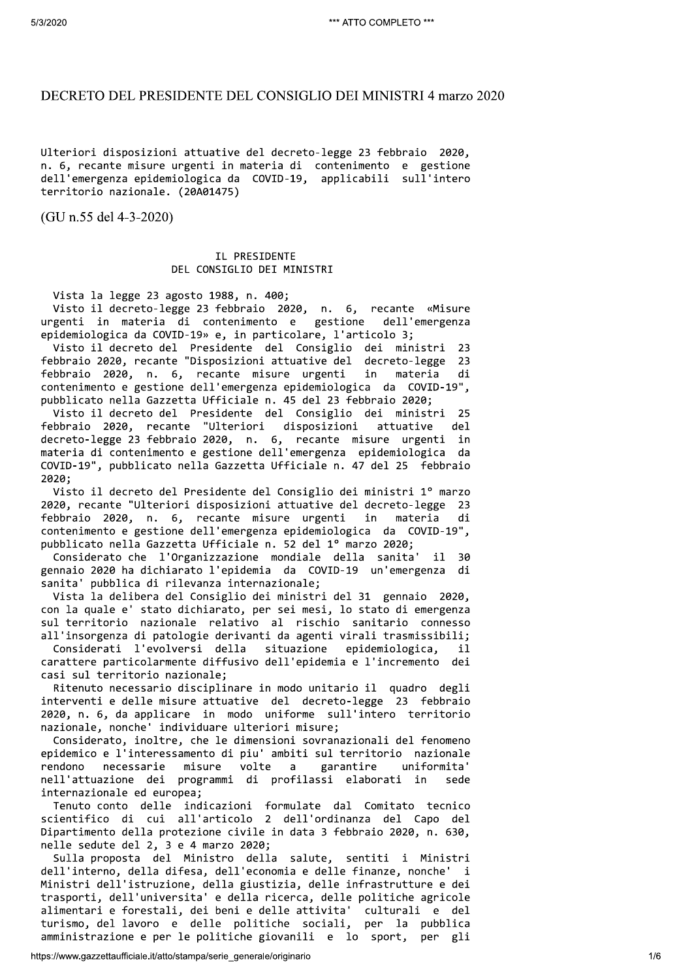# DECRETO DEL PRESIDENTE DEL CONSIGLIO DEI MINISTRI 4 marzo 2020

Ulteriori disposizioni attuative del decreto-legge 23 febbraio 2020, n. 6, recante misure urgenti in materia di contenimento e gestione dell'emergenza epidemiologica da COVID-19, applicabili sull'intero territorio nazionale. (20A01475)

(GU n.55 del 4-3-2020)

## IL PRESIDENTE DEL CONSIGLIO DEI MINISTRI

Vista la legge 23 agosto 1988, n. 400;

Visto il decreto-legge 23 febbraio 2020, n. 6, recante «Misure urgenti in materia di contenimento e gestione dell'emergenza epidemiologica da COVID-19» e, in particolare, l'articolo 3;

Visto il decreto del Presidente del Consiglio dei ministri  $23$ febbraio 2020, recante "Disposizioni attuative del decreto-legge 23 febbraio 2020, n. 6, recante misure urgenti in materia di contenimento e gestione dell'emergenza epidemiologica da COVID-19", pubblicato nella Gazzetta Ufficiale n. 45 del 23 febbraio 2020;

Visto il decreto del Presidente del Consiglio dei ministri 25 febbraio 2020, recante "Ulteriori disposizioni attuative  $de<sub>1</sub>$ decreto-legge 23 febbraio 2020, n. 6, recante misure urgenti in materia di contenimento e gestione dell'emergenza epidemiologica da COVID-19", pubblicato nella Gazzetta Ufficiale n. 47 del 25 febbraio 2020;

Visto il decreto del Presidente del Consiglio dei ministri 1º marzo 2020, recante "Ulteriori disposizioni attuative del decreto-legge 23 febbraio 2020, n. 6, recante misure urgenti in materia di contenimento e gestione dell'emergenza epidemiologica da COVID-19", pubblicato nella Gazzetta Ufficiale n. 52 del 1º marzo 2020;

Considerato che l'Organizzazione mondiale della sanita'  $\mathbf{i}$ - 30 gennaio 2020 ha dichiarato l'epidemia da COVID-19 un'emergenza di sanita' pubblica di rilevanza internazionale;

Vista la delibera del Consiglio dei ministri del 31 gennaio 2020, con la quale e' stato dichiarato, per sei mesi, lo stato di emergenza sul territorio nazionale relativo al rischio sanitario connesso all'insorgenza di patologie derivanti da agenti virali trasmissibili;

Considerati l'evolversi della situazione epidemiologica. il. carattere particolarmente diffusivo dell'epidemia e l'incremento dei casi sul territorio nazionale:

Ritenuto necessario disciplinare in modo unitario il quadro degli interventi e delle misure attuative del decreto-legge 23 febbraio 2020, n. 6, da applicare in modo uniforme sull'intero territorio nazionale, nonche' individuare ulteriori misure;

Considerato, inoltre, che le dimensioni sovranazionali del fenomeno epidemico e l'interessamento di piu' ambiti sul territorio nazionale necessarie misure volte garantire uniformita' rendono  $\overline{a}$ nell'attuazione dei programmi di profilassi elaborati in sede internazionale ed europea;

Tenuto conto delle indicazioni formulate dal Comitato tecnico scientifico di cui all'articolo 2 dell'ordinanza del Capo del Dipartimento della protezione civile in data 3 febbraio 2020, n. 630, nelle sedute del 2, 3 e 4 marzo 2020;

Sulla proposta del Ministro della salute, sentiti i Ministri dell'interno, della difesa, dell'economia e delle finanze, nonche' i Ministri dell'istruzione, della giustizia, delle infrastrutture e dei trasporti, dell'universita' e della ricerca, delle politiche agricole alimentari e forestali, dei beni e delle attivita' culturali e del turismo, del lavoro e delle politiche sociali, per la pubblica amministrazione e per le politiche giovanili e lo sport, per gli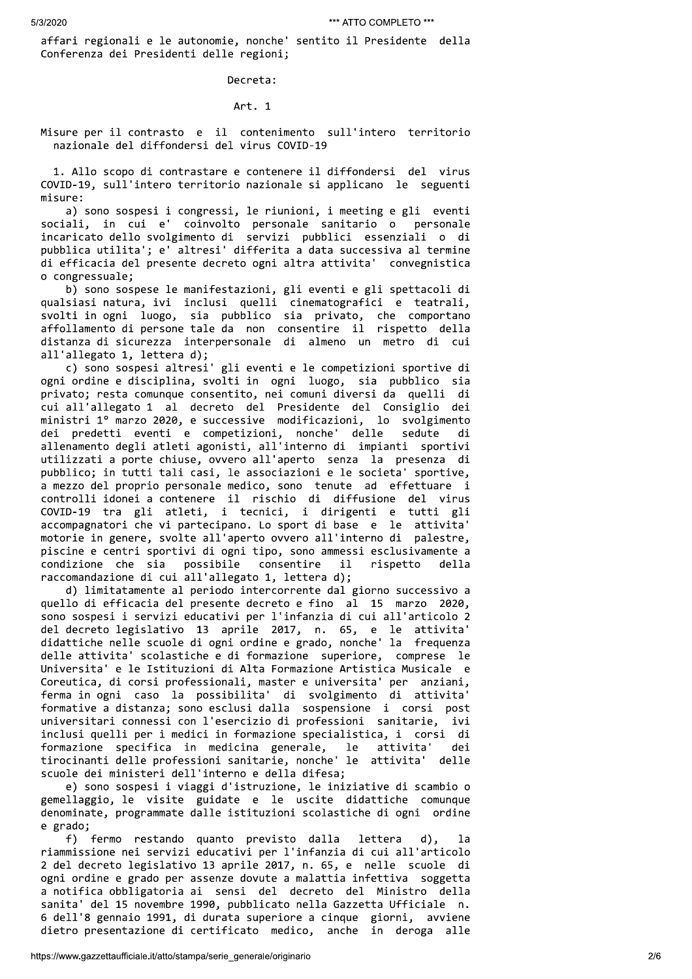affari regionali e le autonomie, nonche' sentito il Presidente della Conferenza dei Presidenti delle regioni;

Decreta:

Art. 1

Misure per il contrasto e il contenimento sull'intero territorio nazionale del diffondersi del virus COVID-19

1. Allo scopo di contrastare e contenere il diffondersi del virus COVID-19, sull'intero territorio nazionale si applicano le seguenti misure:

a) sono sospesi i congressi, le riunioni, i meeting e gli eventi sociali, in cui e' coinvolto personale sanitario o personale incaricato dello svolgimento di servizi pubblici essenziali o di pubblica utilita'; e' altresi' differita a data successiva al termine di efficacia del presente decreto ogni altra attivita' convegnistica o congressuale;

b) sono sospese le manifestazioni, gli eventi e gli spettacoli di qualsiasi natura, ivi inclusi quelli cinematografici e teatrali, svolti in ogni luogo, sia pubblico sia privato, che comportano affollamento di persone tale da non consentire il rispetto della distanza di sicurezza interpersonale di almeno un metro di cui all'allegato 1, lettera d);

c) sono sospesi altresi' gli eventi e le competizioni sportive di ogni ordine e disciplina, svolti in ogni luogo, sia pubblico sia privato; resta comunque consentito, nei comuni diversi da quelli di cui all'allegato 1 al decreto del Presidente del Consiglio dei ministri 1º marzo 2020, e successive modificazioni, lo svolgimento dei predetti eventi e competizioni, nonche' delle sedute di allenamento degli atleti agonisti, all'interno di impianti sportivi utilizzati a porte chiuse, ovvero all'aperto senza la presenza di pubblico; in tutti tali casi, le associazioni e le societa' sportive, a mezzo del proprio personale medico, sono tenute ad effettuare i controlli idonei a contenere il rischio di diffusione del virus COVID-19 tra gli atleti, i tecnici, i dirigenti e tutti gli accompagnatori che vi partecipano. Lo sport di base e le attivita' motorie in genere, svolte all'aperto ovvero all'interno di palestre, piscine e centri sportivi di ogni tipo, sono ammessi esclusivamente a condizione che sia possibile consentire il rispetto della raccomandazione di cui all'allegato 1, lettera d);

d) limitatamente al periodo intercorrente dal giorno successivo a quello di efficacia del presente decreto e fino al 15 marzo 2020, sono sospesi i servizi educativi per l'infanzia di cui all'articolo 2 del decreto legislativo 13 aprile 2017, n. 65, e le attivita' didattiche nelle scuole di ogni ordine e grado, nonche' la frequenza delle attivita' scolastiche e di formazione superiore, comprese le Universita' e le Istituzioni di Alta Formazione Artistica Musicale e Coreutica, di corsi professionali, master e universita' per anziani, ferma in ogni caso la possibilita' di svolgimento di attivita' formative a distanza; sono esclusi dalla sospensione i corsi post universitari connessi con l'esercizio di professioni sanitarie, ivi inclusi quelli per i medici in formazione specialistica, i corsi di formazione specifica in medicina generale, le attivita' dei tirocinanti delle professioni sanitarie, nonche' le attivita' delle scuole dei ministeri dell'interno e della difesa;

e) sono sospesi i viaggi d'istruzione, le iniziative di scambio o gemellaggio, le visite guidate e le uscite didattiche comunque denominate, programmate dalle istituzioni scolastiche di ogni ordine e grado;

f) fermo restando quanto previsto dalla lettera  $d$ ).  $1a$ riammissione nei servizi educativi per l'infanzia di cui all'articolo 2 del decreto legislativo 13 aprile 2017, n. 65, e nelle scuole di ogni ordine e grado per assenze dovute a malattia infettiva soggetta a notifica obbligatoria ai sensi del decreto del Ministro della sanita' del 15 novembre 1990, pubblicato nella Gazzetta Ufficiale n. 6 dell'8 gennaio 1991, di durata superiore a cinque giorni, avviene dietro presentazione di certificato medico, anche in deroga alle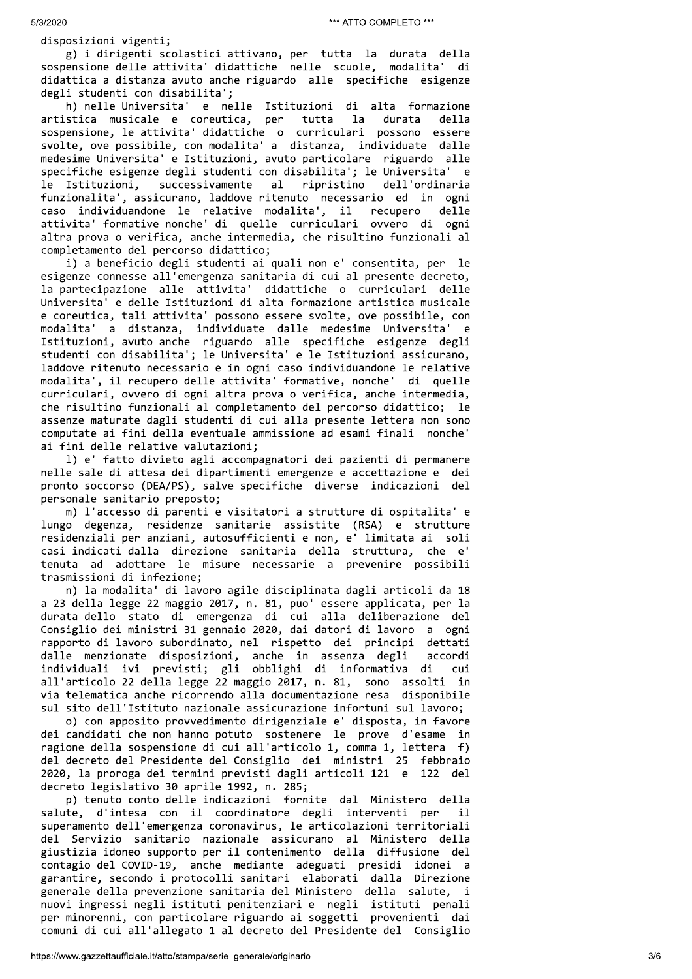disposizioni vigenti;

g) i dirigenti scolastici attivano, per tutta la durata della sospensione delle attivita' didattiche nelle scuole, modalita' di didattica a distanza avuto anche riguardo alle specifiche esigenze degli studenti con disabilita';

h) nelle Universita' e nelle Istituzioni di alta formazione artistica musicale e coreutica, per tutta la durata della sospensione, le attivita' didattiche o curriculari possono essere svolte, ove possibile, con modalita' a distanza, individuate dalle medesime Universita' e Istituzioni, avuto particolare riguardo alle specifiche esigenze degli studenti con disabilita'; le Universita' e successivamente ripristino dell'ordinaria le Istituzioni, al funzionalita', assicurano, laddove ritenuto necessario ed in ogni caso individuandone le relative modalita', il recupero delle attivita' formative nonche' di quelle curriculari ovvero di ogni altra prova o verifica, anche intermedia, che risultino funzionali al completamento del percorso didattico;

i) a beneficio degli studenti ai quali non e' consentita, per le esigenze connesse all'emergenza sanitaria di cui al presente decreto, la partecipazione alle attivita' didattiche o curriculari delle Universita' e delle Istituzioni di alta formazione artistica musicale e coreutica, tali attivita' possono essere svolte, ove possibile, con modalita' a distanza, individuate dalle medesime Universita'  $\epsilon$ Istituzioni, avuto anche riguardo alle specifiche esigenze degli studenti con disabilita'; le Universita' e le Istituzioni assicurano, laddove ritenuto necessario e in ogni caso individuandone le relative modalita', il recupero delle attivita' formative, nonche' di quelle curriculari, ovvero di ogni altra prova o verifica, anche intermedia, che risultino funzionali al completamento del percorso didattico; le assenze maturate dagli studenti di cui alla presente lettera non sono computate ai fini della eventuale ammissione ad esami finali nonche' ai fini delle relative valutazioni;

1) e' fatto divieto agli accompagnatori dei pazienti di permanere nelle sale di attesa dei dipartimenti emergenze e accettazione e dei pronto soccorso (DEA/PS), salve specifiche diverse indicazioni del personale sanitario preposto;

m) l'accesso di parenti e visitatori a strutture di ospitalita' e lungo degenza, residenze sanitarie assistite (RSA) e strutture residenziali per anziani, autosufficienti e non, e' limitata ai soli casi indicati dalla direzione sanitaria della struttura, che e' tenuta ad adottare le misure necessarie a prevenire possibili trasmissioni di infezione;

n) la modalita' di lavoro agile disciplinata dagli articoli da 18 a 23 della legge 22 maggio 2017, n. 81, puo' essere applicata, per la durata dello stato di emergenza di cui alla deliberazione del Consiglio dei ministri 31 gennaio 2020, dai datori di lavoro a ogni rapporto di lavoro subordinato, nel rispetto dei principi dettati dalle menzionate disposizioni, anche in assenza degli accordi individuali ivi previsti; gli obblighi di informativa di cui all'articolo 22 della legge 22 maggio 2017, n. 81, sono assolti in via telematica anche ricorrendo alla documentazione resa disponibile sul sito dell'Istituto nazionale assicurazione infortuni sul lavoro;

o) con apposito provvedimento dirigenziale e' disposta, in favore dei candidati che non hanno potuto sostenere le prove d'esame in ragione della sospensione di cui all'articolo 1, comma 1, lettera f) del decreto del Presidente del Consiglio dei ministri 25 febbraio 2020, la proroga dei termini previsti dagli articoli 121 e 122 del decreto legislativo 30 aprile 1992, n. 285;

p) tenuto conto delle indicazioni fornite dal Ministero della salute, d'intesa con il coordinatore degli interventi per  $11$ superamento dell'emergenza coronavirus, le articolazioni territoriali del Servizio sanitario nazionale assicurano al Ministero della giustizia idoneo supporto per il contenimento della diffusione del contagio del COVID-19, anche mediante adeguati presidi idonei a garantire, secondo i protocolli sanitari elaborati dalla Direzione generale della prevenzione sanitaria del Ministero della salute, i nuovi ingressi negli istituti penitenziari e negli istituti penali per minorenni, con particolare riguardo ai soggetti provenienti dai comuni di cui all'allegato 1 al decreto del Presidente del Consiglio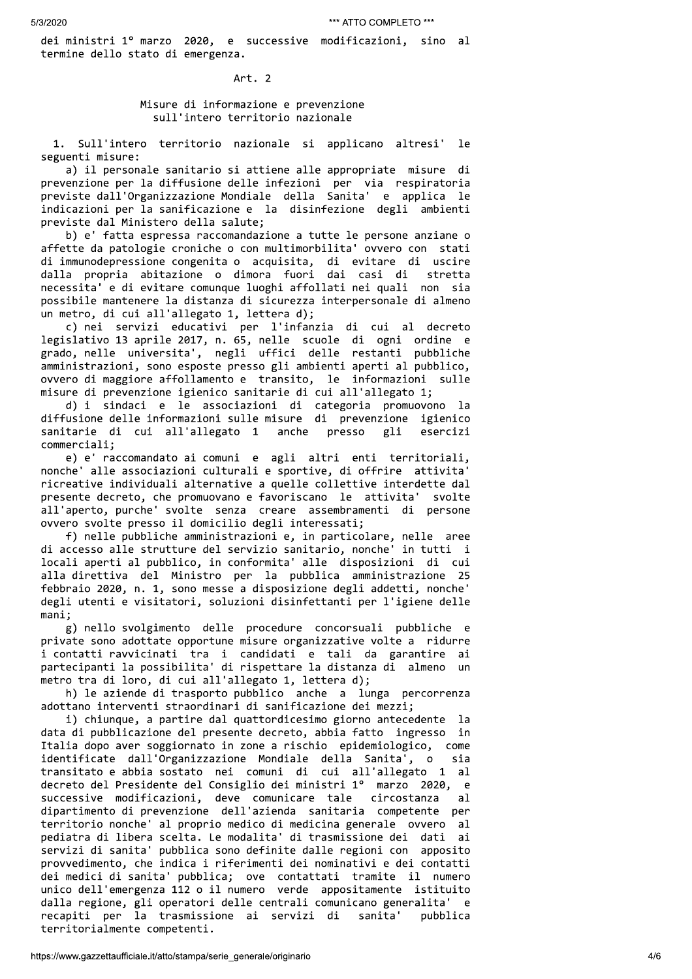dei ministri 1º marzo 2020, e successive modificazioni, sino al termine dello stato di emergenza.

Art. 2

### Misure di informazione e prevenzione sull'intero territorio nazionale

Sull'intero territorio nazionale si applicano altresi' 1e seguenti misure:

a) il personale sanitario si attiene alle appropriate misure di prevenzione per la diffusione delle infezioni per via respiratoria previste dall'Organizzazione Mondiale della Sanita' e applica le indicazioni per la sanificazione e la disinfezione degli ambienti previste dal Ministero della salute;

b) e' fatta espressa raccomandazione a tutte le persone anziane o affette da patologie croniche o con multimorbilita' ovvero con stati di immunodepressione congenita o acquisita, di evitare di uscire dalla propria abitazione o dimora fuori dai casi di stretta necessita' e di evitare comunque luoghi affollati nei quali non sia possibile mantenere la distanza di sicurezza interpersonale di almeno un metro, di cui all'allegato 1, lettera d);

c) nei servizi educativi per l'infanzia di cui al decreto legislativo 13 aprile 2017, n. 65, nelle scuole di ogni ordine e grado, nelle universita', negli uffici delle restanti pubbliche amministrazioni, sono esposte presso gli ambienti aperti al pubblico, ovvero di maggiore affollamento e transito, le informazioni sulle misure di prevenzione igienico sanitarie di cui all'allegato 1;

d) i sindaci e le associazioni di categoria promuovono -1а diffusione delle informazioni sulle misure di prevenzione igienico sanitarie di cui all'allegato 1 anche presso gli esercizi commerciali;

e) e' raccomandato ai comuni e agli altri enti territoriali, nonche' alle associazioni culturali e sportive, di offrire attivita' ricreative individuali alternative a quelle collettive interdette dal presente decreto, che promuovano e favoriscano le attivita' svolte all'aperto, purche' svolte senza creare assembramenti di persone ovvero svolte presso il domicilio degli interessati;

f) nelle pubbliche amministrazioni e, in particolare, nelle aree di accesso alle strutture del servizio sanitario, nonche' in tutti i locali aperti al pubblico, in conformita' alle disposizioni di cui alla direttiva del Ministro per la pubblica amministrazione 25 febbraio 2020, n. 1, sono messe a disposizione degli addetti, nonche' degli utenti e visitatori, soluzioni disinfettanti per l'igiene delle  $mani$ :

g) nello svolgimento delle procedure concorsuali pubbliche e private sono adottate opportune misure organizzative volte a ridurre i contatti ravvicinati tra i candidati e tali da garantire ai partecipanti la possibilita' di rispettare la distanza di almeno un metro tra di loro, di cui all'allegato 1, lettera d);

h) le aziende di trasporto pubblico anche a lunga percorrenza adottano interventi straordinari di sanificazione dei mezzi;

i) chiunque, a partire dal quattordicesimo giorno antecedente la data di pubblicazione del presente decreto, abbia fatto ingresso in Italia dopo aver soggiornato in zone a rischio epidemiologico, come identificate dall'Organizzazione Mondiale della Sanita', o sia transitato e abbia sostato nei comuni di cui all'allegato 1 al decreto del Presidente del Consiglio dei ministri 1º marzo 2020, e successive modificazioni, deve comunicare tale circostanza  $a<sup>1</sup>$ dipartimento di prevenzione dell'azienda sanitaria competente per territorio nonche' al proprio medico di medicina generale ovvero al pediatra di libera scelta. Le modalita' di trasmissione dei dati ai servizi di sanita' pubblica sono definite dalle regioni con apposito provvedimento, che indica i riferimenti dei nominativi e dei contatti dei medici di sanita' pubblica; ove contattati tramite il numero unico dell'emergenza 112 o il numero verde appositamente istituito dalla regione, gli operatori delle centrali comunicano generalita' e recapiti per la trasmissione ai servizi di sanita' pubblica territorialmente competenti.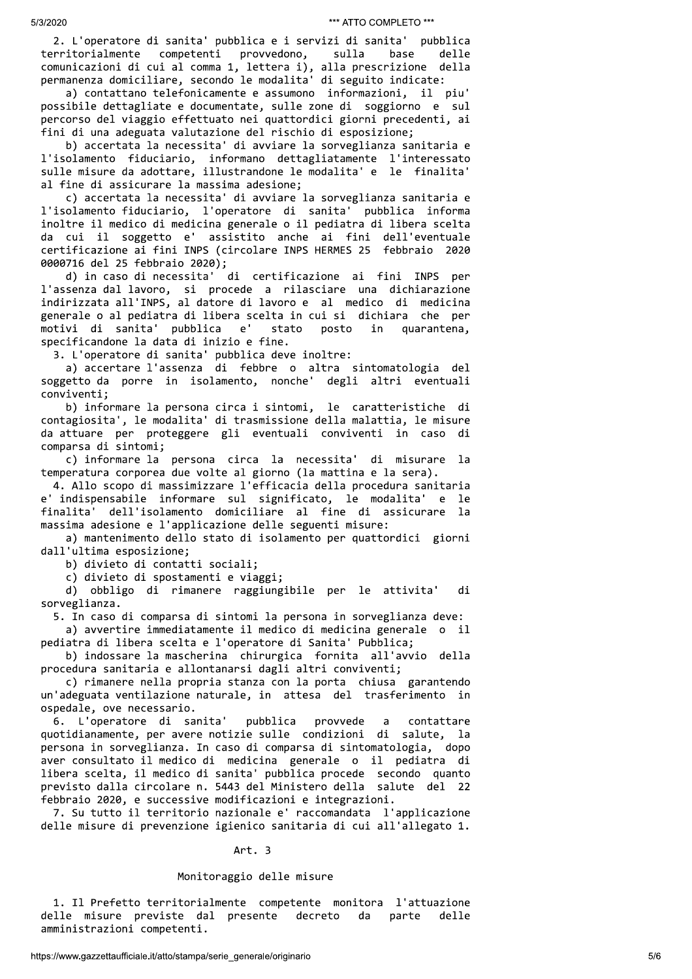<sup>5/3/2020</sup><br>
2. L'operatore di sanita' pubblica e i servizi di sanita' pubblica<br>
territorialmente competenti provvedono, sulla base delle<br>
comunicazioni di cui al comma 1, lettera i), alla prescrizione della<br>
permanenza dom

1'isolamento fiduciario, informano dettagliatamente l'interessato<br>sulle misure da adottare, illustrandone le modalita' e le finalita' al fine di assicurare la massima adesione;

c) accertata la necessita' di avviare la sorveglianza sanitaria e 1'isolamento fiduciario, l'operatore di sanita' pubblica informa inoltre il medico di medicina generale o il pediatra di libera scelta da cui il soggetto e' assistito anche ai fini dell'eventuale certificazione ai fini INPS (circolare INPS HERMES 25 febbraio 2020 0000716 del 25 febbraio 2020);

d) in caso di necessita' di certificazione ai fini INPS per 1'assenza dal lavoro, si procede a rilasciare una dichiarazione indirizzata all'INPS, al datore di lavoro e al medico di medicina generale o al pediatra di libera scelta in cui si dichiara che per da cui il soggetto e' assistito anche ai fini dell'eventuale<br>certificazione ai fini INPS (crolare INPS HERMES 25 febbraio 2020<br>000716 del 25 febbraio 2020;<br>d) in caso di necessita' di certificazione ai fini INPS per<br>l'asse

a) accertare l'assenza di febbre o altra sintomatologia del soggetto da porre in isolamento, nonche' degli altri eventuali conviventi;

b) informare la persona circa i sintomi, le caratteristiche di contagiosita', le modalita' di trasmissione della malattia, le misure da attuare per proteggere gli eventuali conviventi in caso di comparsa di sintomi;

a) actorere l'assession di federe e alla point a interiorie del matematica del metrico di federe actore di point actore di point actore di point actore and the complete condition of the complete condition of the complete p